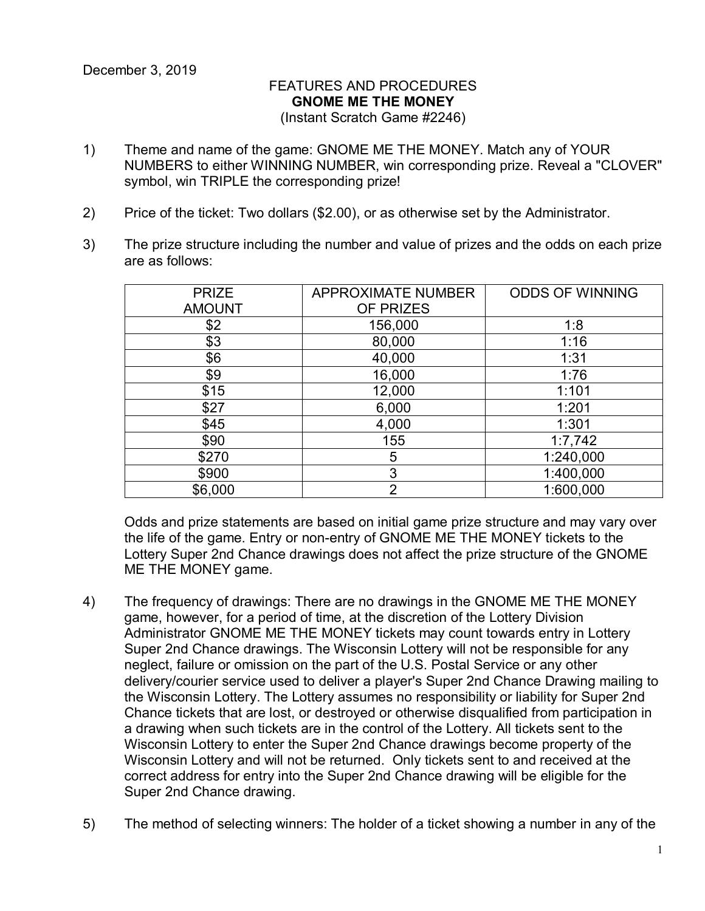## FEATURES AND PROCEDURES **GNOME ME THE MONEY** (Instant Scratch Game #2246)

- 1) Theme and name of the game: GNOME ME THE MONEY. Match any of YOUR NUMBERS to either WINNING NUMBER, win corresponding prize. Reveal a "CLOVER" symbol, win TRIPLE the corresponding prize!
- 2) Price of the ticket: Two dollars (\$2.00), or as otherwise set by the Administrator.
- 3) The prize structure including the number and value of prizes and the odds on each prize are as follows:

| <b>PRIZE</b>  | <b>APPROXIMATE NUMBER</b> | <b>ODDS OF WINNING</b> |
|---------------|---------------------------|------------------------|
| <b>AMOUNT</b> | OF PRIZES                 |                        |
| \$2           | 156,000                   | 1:8                    |
| \$3           | 80,000                    | 1:16                   |
| \$6           | 40,000                    | 1:31                   |
| \$9           | 16,000                    | 1:76                   |
| \$15          | 12,000                    | 1:101                  |
| \$27          | 6,000                     | 1:201                  |
| \$45          | 4,000                     | 1:301                  |
| \$90          | 155                       | 1:7,742                |
| \$270         | 5                         | 1:240,000              |
| \$900         | 3                         | 1:400,000              |
| \$6,000       | $\overline{2}$            | 1:600,000              |

Odds and prize statements are based on initial game prize structure and may vary over the life of the game. Entry or non-entry of GNOME ME THE MONEY tickets to the Lottery Super 2nd Chance drawings does not affect the prize structure of the GNOME ME THE MONEY game.

- 4) The frequency of drawings: There are no drawings in the GNOME ME THE MONEY game, however, for a period of time, at the discretion of the Lottery Division Administrator GNOME ME THE MONEY tickets may count towards entry in Lottery Super 2nd Chance drawings. The Wisconsin Lottery will not be responsible for any neglect, failure or omission on the part of the U.S. Postal Service or any other delivery/courier service used to deliver a player's Super 2nd Chance Drawing mailing to the Wisconsin Lottery. The Lottery assumes no responsibility or liability for Super 2nd Chance tickets that are lost, or destroyed or otherwise disqualified from participation in a drawing when such tickets are in the control of the Lottery. All tickets sent to the Wisconsin Lottery to enter the Super 2nd Chance drawings become property of the Wisconsin Lottery and will not be returned. Only tickets sent to and received at the correct address for entry into the Super 2nd Chance drawing will be eligible for the Super 2nd Chance drawing.
- 5) The method of selecting winners: The holder of a ticket showing a number in any of the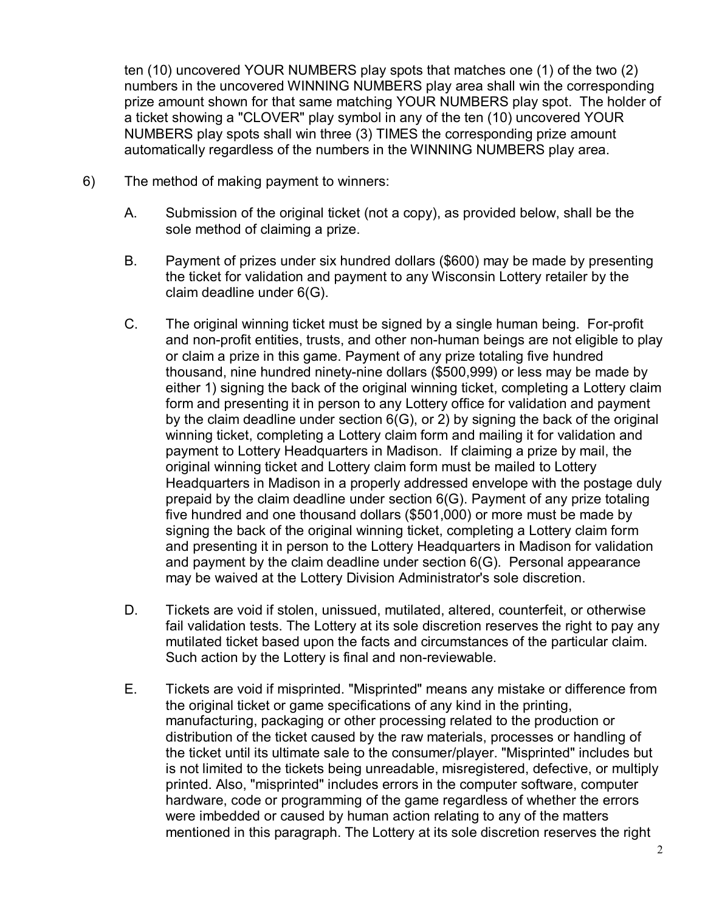ten (10) uncovered YOUR NUMBERS play spots that matches one (1) of the two (2) numbers in the uncovered WINNING NUMBERS play area shall win the corresponding prize amount shown for that same matching YOUR NUMBERS play spot. The holder of a ticket showing a "CLOVER" play symbol in any of the ten (10) uncovered YOUR NUMBERS play spots shall win three (3) TIMES the corresponding prize amount automatically regardless of the numbers in the WINNING NUMBERS play area.

- 6) The method of making payment to winners:
	- A. Submission of the original ticket (not a copy), as provided below, shall be the sole method of claiming a prize.
	- B. Payment of prizes under six hundred dollars (\$600) may be made by presenting the ticket for validation and payment to any Wisconsin Lottery retailer by the claim deadline under 6(G).
	- C. The original winning ticket must be signed by a single human being. For-profit and non-profit entities, trusts, and other non-human beings are not eligible to play or claim a prize in this game. Payment of any prize totaling five hundred thousand, nine hundred ninety-nine dollars (\$500,999) or less may be made by either 1) signing the back of the original winning ticket, completing a Lottery claim form and presenting it in person to any Lottery office for validation and payment by the claim deadline under section 6(G), or 2) by signing the back of the original winning ticket, completing a Lottery claim form and mailing it for validation and payment to Lottery Headquarters in Madison. If claiming a prize by mail, the original winning ticket and Lottery claim form must be mailed to Lottery Headquarters in Madison in a properly addressed envelope with the postage duly prepaid by the claim deadline under section 6(G). Payment of any prize totaling five hundred and one thousand dollars (\$501,000) or more must be made by signing the back of the original winning ticket, completing a Lottery claim form and presenting it in person to the Lottery Headquarters in Madison for validation and payment by the claim deadline under section 6(G). Personal appearance may be waived at the Lottery Division Administrator's sole discretion.
	- D. Tickets are void if stolen, unissued, mutilated, altered, counterfeit, or otherwise fail validation tests. The Lottery at its sole discretion reserves the right to pay any mutilated ticket based upon the facts and circumstances of the particular claim. Such action by the Lottery is final and non-reviewable.
	- E. Tickets are void if misprinted. "Misprinted" means any mistake or difference from the original ticket or game specifications of any kind in the printing, manufacturing, packaging or other processing related to the production or distribution of the ticket caused by the raw materials, processes or handling of the ticket until its ultimate sale to the consumer/player. "Misprinted" includes but is not limited to the tickets being unreadable, misregistered, defective, or multiply printed. Also, "misprinted" includes errors in the computer software, computer hardware, code or programming of the game regardless of whether the errors were imbedded or caused by human action relating to any of the matters mentioned in this paragraph. The Lottery at its sole discretion reserves the right